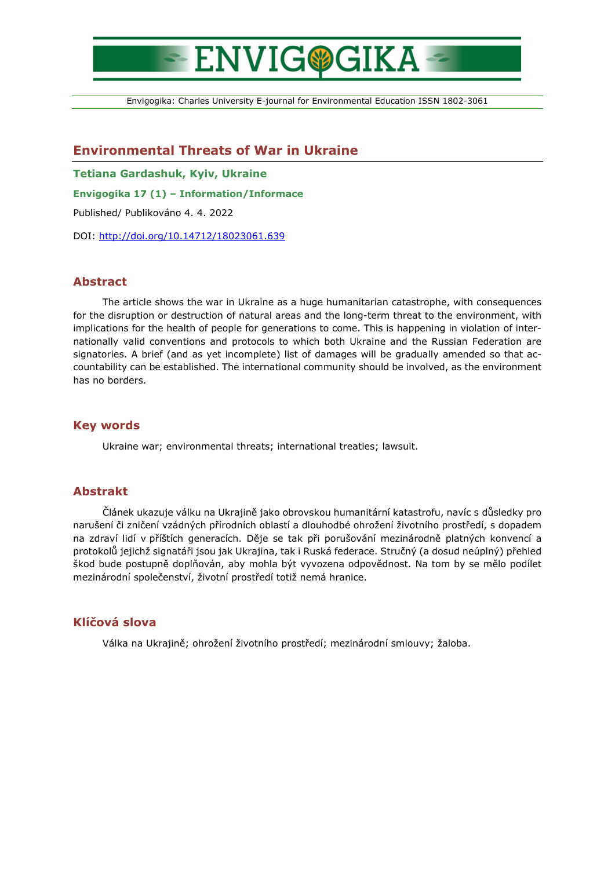# **ENVIG®GIKA**

Envigogika: Charles University E-journal for Environmental Education ISSN 1802-3061

# **Environmental Threats of War in Ukraine**

**Tetiana Gardashuk, Kyiv, Ukraine**

**Envigogika 17 (1) – Information/Informace**

Published/ Publikováno 4. 4. 2022

DOI:<http://doi.org/10.14712/18023061.639>

### **Abstract**

The article shows the war in Ukraine as a huge humanitarian catastrophe, with consequences for the disruption or destruction of natural areas and the long-term threat to the environment, with implications for the health of people for generations to come. This is happening in violation of internationally valid conventions and protocols to which both Ukraine and the Russian Federation are signatories. A brief (and as yet incomplete) list of damages will be gradually amended so that accountability can be established. The international community should be involved, as the environment has no borders.

#### **Key words**

Ukraine war; environmental threats; international treaties; lawsuit.

## **Abstrakt**

Článek ukazuje válku na Ukrajině jako obrovskou humanitární katastrofu, navíc s důsledky pro narušení či zničení vzádných přírodních oblastí a dlouhodbé ohrožení životního prostředí, s dopadem na zdraví lidí v příštích generacích. Děje se tak při porušování mezinárodně platných konvencí a protokolů jejichž signatáři jsou jak Ukrajina, tak i Ruská federace. Stručný (a dosud neúplný) přehled škod bude postupně doplňován, aby mohla být vyvozena odpovědnost. Na tom by se mělo podílet mezinárodní společenství, životní prostředí totiž nemá hranice.

#### **Klíčová slova**

Válka na Ukrajině; ohrožení životního prostředí; mezinárodní smlouvy; žaloba.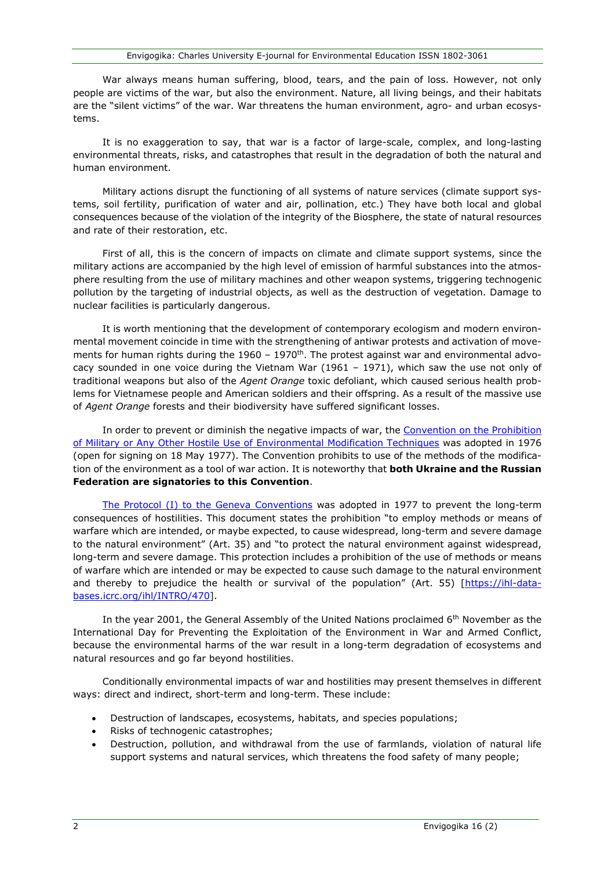War always means human suffering, blood, tears, and the pain of loss. However, not only people are victims of the war, but also the environment. Nature, all living beings, and their habitats are the "silent victims" of the war. War threatens the human environment, agro- and urban ecosystems.

It is no exaggeration to say, that war is a factor of large-scale, complex, and long-lasting environmental threats, risks, and catastrophes that result in the degradation of both the natural and human environment.

Military actions disrupt the functioning of all systems of nature services (climate support systems, soil fertility, purification of water and air, pollination, etc.) They have both local and global consequences because of the violation of the integrity of the Biosphere, the state of natural resources and rate of their restoration, etc.

First of all, this is the concern of impacts on climate and climate support systems, since the military actions are accompanied by the high level of emission of harmful substances into the atmosphere resulting from the use of military machines and other weapon systems, triggering technogenic pollution by the targeting of industrial objects, as well as the destruction of vegetation. Damage to nuclear facilities is particularly dangerous.

It is worth mentioning that the development of contemporary ecologism and modern environmental movement coincide in time with the strengthening of antiwar protests and activation of movements for human rights during the 1960 - 1970<sup>th</sup>. The protest against war and environmental advocacy sounded in one voice during the Vietnam War  $(1961 - 1971)$ , which saw the use not only of traditional weapons but also of the *Agent Orange* toxic defoliant, which caused serious health problems for Vietnamese people and American soldiers and their offspring. As a result of the massive use of *Agent Orange* forests and their biodiversity have suffered significant losses.

In order to prevent or diminish the negative impacts of war, the Convention on the Prohibition [of Military or Any Other Hostile Use of Environmental Modification Techniques](https://www.un.org/disarmament/enmod/) was adopted in 1976 (open for signing on 18 May 1977). The Convention prohibits to use of the methods of the modification of the environment as a tool of war action. It is noteworthy that **both Ukraine and the Russian Federation are signatories to this Convention**.

[The Protocol \(I\) to the Geneva Conventions](https://www.icrc.org/en/document/geneva-conventions-1949-additional-protocols) was adopted in 1977 to prevent the long-term consequences of hostilities. This document states the prohibition "to employ methods or means of warfare which are intended, or maybe expected, to cause widespread, long-term and severe damage to the natural environment" (Art. 35) and "to protect the natural environment against widespread, long-term and severe damage. This protection includes a prohibition of the use of methods or means of warfare which are intended or may be expected to cause such damage to the natural environment and thereby to prejudice the health or survival of the population" (Art. 55) [\[https://ihl-data](https://ihl-databases.icrc.org/ihl/INTRO/470)[bases.icrc.org/ihl/INTRO/470\]](https://ihl-databases.icrc.org/ihl/INTRO/470).

In the year 2001, the General Assembly of the United Nations proclaimed  $6<sup>th</sup>$  November as the International Day for Preventing the Exploitation of the Environment in War and Armed Conflict, because the environmental harms of the war result in a long-term degradation of ecosystems and natural resources and go far beyond hostilities.

Conditionally environmental impacts of war and hostilities may present themselves in different ways: direct and indirect, short-term and long-term. These include:

- Destruction of landscapes, ecosystems, habitats, and species populations;
- Risks of technogenic catastrophes;
- Destruction, pollution, and withdrawal from the use of farmlands, violation of natural life support systems and natural services, which threatens the food safety of many people;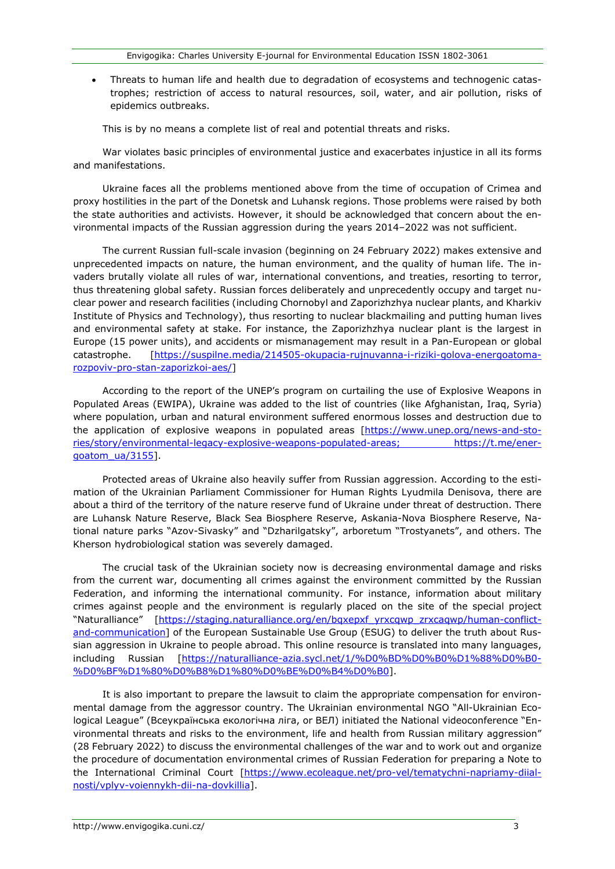• Threats to human life and health due to degradation of ecosystems and technogenic catastrophes; restriction of access to natural resources, soil, water, and air pollution, risks of epidemics outbreaks.

This is by no means a complete list of real and potential threats and risks.

War violates basic principles of environmental justice and exacerbates injustice in all its forms and manifestations.

Ukraine faces all the problems mentioned above from the time of occupation of Crimea and proxy hostilities in the part of the Donetsk and Luhansk regions. Those problems were raised by both the state authorities and activists. However, it should be acknowledged that concern about the environmental impacts of the Russian aggression during the years 2014–2022 was not sufficient.

The current Russian full-scale invasion (beginning on 24 February 2022) makes extensive and unprecedented impacts on nature, the human environment, and the quality of human life. The invaders brutally violate all rules of war, international conventions, and treaties, resorting to terror, thus threatening global safety. Russian forces deliberately and unprecedently occupy and target nuclear power and research facilities (including Chornobyl and Zaporizhzhya nuclear plants, and Kharkiv Institute of Physics and Technology), thus resorting to nuclear blackmailing and putting human lives and environmental safety at stake. For instance, the Zaporizhzhya nuclear plant is the largest in Europe (15 power units), and accidents or mismanagement may result in a Pan-European or global catastrophe. [\[https://suspilne.media/214505-okupacia-rujnuvanna-i-](https://suspilne.media/214505-okupacia-rujnuvanna-i-riziki-golova-energoatoma-rozpoviv-pro-stan-zaporizkoi-aes/)riziki-golova-energoatomarozpoviv[-pro-stan-](https://suspilne.media/214505-okupacia-rujnuvanna-i-riziki-golova-energoatoma-rozpoviv-pro-stan-zaporizkoi-aes/)zaporizkoi-aes/]

According to the report of the UNEP's program on curtailing the use of Explosive Weapons in Populated Areas (EWIPA), Ukraine was added to the list of countries (like Afghanistan, Iraq, Syria) where population, urban and natural environment suffered enormous losses and destruction due to the application of explosive weapons in populated areas [\[https://www.unep.org/news-and-sto](https://www.unep.org/news-and-stories/story/environmental-legacy-explosive-weapons-populated-areas)[ries/story/environmental-legacy-explosive-weapons-populated-areas;](https://www.unep.org/news-and-stories/story/environmental-legacy-explosive-weapons-populated-areas) [https://t.me/ener](https://t.me/energoatom_ua/3155)[goatom\\_ua/3155\]](https://t.me/energoatom_ua/3155).

Protected areas of Ukraine also heavily suffer from Russian aggression. According to the estimation of the Ukrainian Parliament Commissioner for Human Rights Lyudmila Denisova, there are about a third of the territory of the nature reserve fund of Ukraine under threat of destruction. There are Luhansk Nature Reserve, Black Sea Biosphere Reserve, Askania-Nova Biosphere Reserve, National nature parks "Azov-Sivasky" and "Dzharilgatsky", arboretum "Trostyanets", and others. The Kherson hydrobiological station was severely damaged.

The crucial task of the Ukrainian society now is decreasing environmental damage and risks from the current war, documenting all crimes against the environment committed by the Russian Federation, and informing the international community. For instance, information about military crimes against people and the environment is regularly placed on the site of the special project "Naturalliance" [[https://staging.naturalliance.org/en/bqxepxf\\_yrxcqwp\\_zrxcaqwp/human](https://staging.naturalliance.org/en/bqxepxf_yrxcqwp_zrxcaqwp/human-conflict-and-communication)-conflict[and-communication\]](https://staging.naturalliance.org/en/bqxepxf_yrxcqwp_zrxcaqwp/human-conflict-and-communication) of the European Sustainable Use Group (ESUG) to deliver the truth about Russian aggression in Ukraine to people abroad. This online resource is translated into many languages, including Russian [https://naturalliance-[azia.sycl.net/1/%D0%BD%D0%B0%D1%88%D0%B0](https://naturalliance-azia.sycl.net/1/%D0%BD%D0%B0%D1%88%D0%B0-%D0%BF%D1%80%D0%B8%D1%80%D0%BE%D0%B4%D0%B0)- [%D0%BF%D1%80%D0%B8%D1%80%D0%BE%D0%B4%D0%B0](https://naturalliance-azia.sycl.net/1/%D0%BD%D0%B0%D1%88%D0%B0-%D0%BF%D1%80%D0%B8%D1%80%D0%BE%D0%B4%D0%B0)].

It is also important to prepare the lawsuit to claim the appropriate compensation for environmental damage from the aggressor country. The Ukrainian environmental NGO "All-Ukrainian Ecological League" (Всеукраїнська екологічна ліга, or ВЕЛ) initiated the National videoconference "Environmental threats and risks to the environment, life and health from Russian military aggression" (28 February 2022) to discuss the environmental challenges of the war and to work out and organize the procedure of documentation environmental crimes of Russian Federation for preparing a Note to the International Criminal Court [\[https://www.ecoleague.net/pro-vel/tematychni-napriamy-diial](https://www.ecoleague.net/pro-vel/tematychni-napriamy-diialnosti/vplyv-voiennykh-dii-na-dovkillia)[nosti/vplyv-voiennykh-dii-na-dovkillia\]](https://www.ecoleague.net/pro-vel/tematychni-napriamy-diialnosti/vplyv-voiennykh-dii-na-dovkillia).